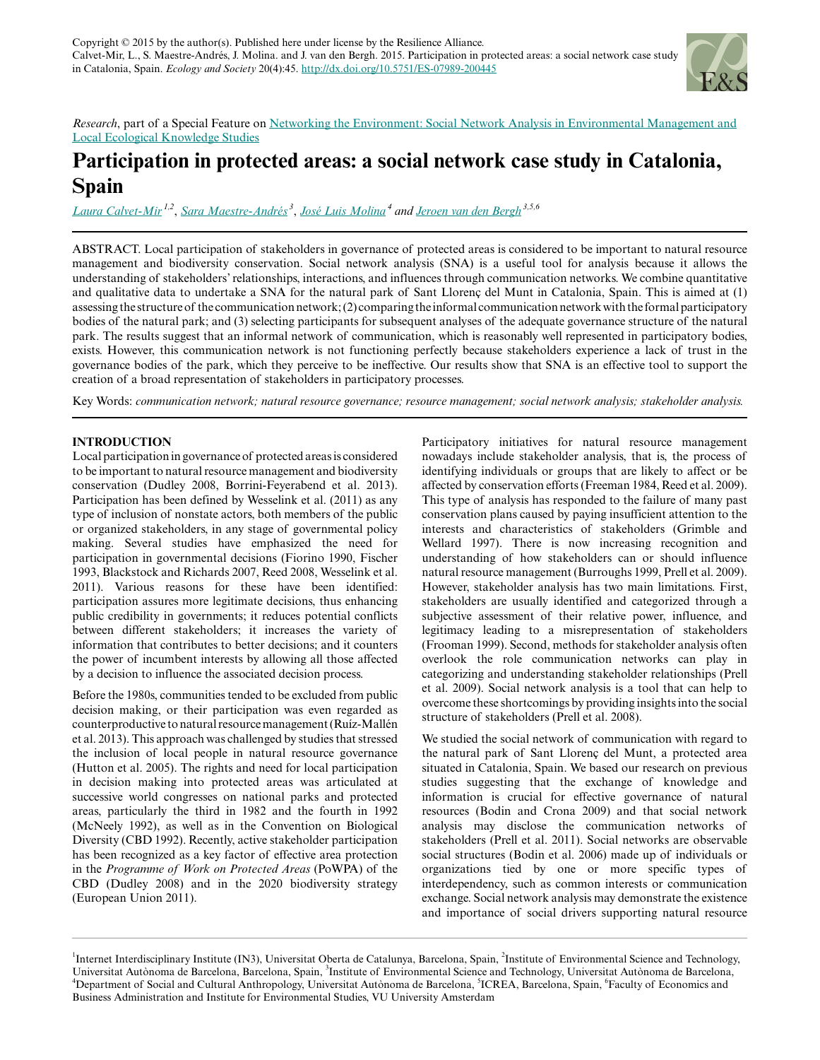

*Research*, part of a Special Feature on [Networking the Environment: Social Network Analysis in Environmental Management and](http://www.ecologyandsociety.org/viewissue.php?sf=110) [Local Ecological Knowledge Studies](http://www.ecologyandsociety.org/viewissue.php?sf=110)

# **Participation in protected areas: a social network case study in Catalonia, Spain**

*[Laura Calvet-Mir](mailto:lcalvetmir@gmail.com) 1,2* , *[Sara Maestre-Andrés](mailto:sara.maestre@uab.cat)<sup>3</sup>* , *[José Luis Molina](mailto:joseluis.molina@uab.cat)<sup>4</sup> and [Jeroen van den Bergh](mailto:jeroen.bergh@uab.es) 3,5,6*

ABSTRACT. Local participation of stakeholders in governance of protected areas is considered to be important to natural resource management and biodiversity conservation. Social network analysis (SNA) is a useful tool for analysis because it allows the understanding of stakeholders' relationships, interactions, and influences through communication networks. We combine quantitative and qualitative data to undertake a SNA for the natural park of Sant Llorenç del Munt in Catalonia, Spain. This is aimed at (1) assessing the structure of the communication network; (2) comparing the informal communication network with the formal participatory bodies of the natural park; and (3) selecting participants for subsequent analyses of the adequate governance structure of the natural park. The results suggest that an informal network of communication, which is reasonably well represented in participatory bodies, exists. However, this communication network is not functioning perfectly because stakeholders experience a lack of trust in the governance bodies of the park, which they perceive to be ineffective. Our results show that SNA is an effective tool to support the creation of a broad representation of stakeholders in participatory processes.

Key Words: *communication network; natural resource governance; resource management; social network analysis; stakeholder analysis.*

# **INTRODUCTION**

Local participation in governance of protected areas is considered to be important to natural resource management and biodiversity conservation (Dudley 2008, Borrini-Feyerabend et al. 2013). Participation has been defined by Wesselink et al. (2011) as any type of inclusion of nonstate actors, both members of the public or organized stakeholders, in any stage of governmental policy making. Several studies have emphasized the need for participation in governmental decisions (Fiorino 1990, Fischer 1993, Blackstock and Richards 2007, Reed 2008, Wesselink et al. 2011). Various reasons for these have been identified: participation assures more legitimate decisions, thus enhancing public credibility in governments; it reduces potential conflicts between different stakeholders; it increases the variety of information that contributes to better decisions; and it counters the power of incumbent interests by allowing all those affected by a decision to influence the associated decision process.

Before the 1980s, communities tended to be excluded from public decision making, or their participation was even regarded as counterproductive to natural resource management (Ruíz-Mallén et al. 2013). This approach was challenged by studies that stressed the inclusion of local people in natural resource governance (Hutton et al. 2005). The rights and need for local participation in decision making into protected areas was articulated at successive world congresses on national parks and protected areas, particularly the third in 1982 and the fourth in 1992 (McNeely 1992), as well as in the Convention on Biological Diversity (CBD 1992). Recently, active stakeholder participation has been recognized as a key factor of effective area protection in the *Programme of Work on Protected Areas* (PoWPA) of the CBD (Dudley 2008) and in the 2020 biodiversity strategy (European Union 2011).

Participatory initiatives for natural resource management nowadays include stakeholder analysis, that is, the process of identifying individuals or groups that are likely to affect or be affected by conservation efforts (Freeman 1984, Reed et al. 2009). This type of analysis has responded to the failure of many past conservation plans caused by paying insufficient attention to the interests and characteristics of stakeholders (Grimble and Wellard 1997). There is now increasing recognition and understanding of how stakeholders can or should influence natural resource management (Burroughs 1999, Prell et al. 2009). However, stakeholder analysis has two main limitations. First, stakeholders are usually identified and categorized through a subjective assessment of their relative power, influence, and legitimacy leading to a misrepresentation of stakeholders (Frooman 1999). Second, methods for stakeholder analysis often overlook the role communication networks can play in categorizing and understanding stakeholder relationships (Prell et al. 2009). Social network analysis is a tool that can help to overcome these shortcomings by providing insights into the social structure of stakeholders (Prell et al. 2008).

We studied the social network of communication with regard to the natural park of Sant Llorenç del Munt, a protected area situated in Catalonia, Spain. We based our research on previous studies suggesting that the exchange of knowledge and information is crucial for effective governance of natural resources (Bodin and Crona 2009) and that social network analysis may disclose the communication networks of stakeholders (Prell et al. 2011). Social networks are observable social structures (Bodin et al. 2006) made up of individuals or organizations tied by one or more specific types of interdependency, such as common interests or communication exchange. Social network analysis may demonstrate the existence and importance of social drivers supporting natural resource

<sup>&</sup>lt;sup>1</sup>Internet Interdisciplinary Institute (IN3), Universitat Oberta de Catalunya, Barcelona, Spain, <sup>2</sup>Institute of Environmental Science and Technology, Universitat Autònoma de Barcelona, Barcelona, Spain, <sup>3</sup>Institute of Environmental Science and Technology, Universitat Autònoma de Barcelona, <sup>4</sup>Department of Social and Cultural Anthropology, Universitat Autònoma de Barcelona, <sup>5</sup>ICREA, Barcelona, Spain, <sup>6</sup>Faculty of Economics and Business Administration and Institute for Environmental Studies, VU University Amsterdam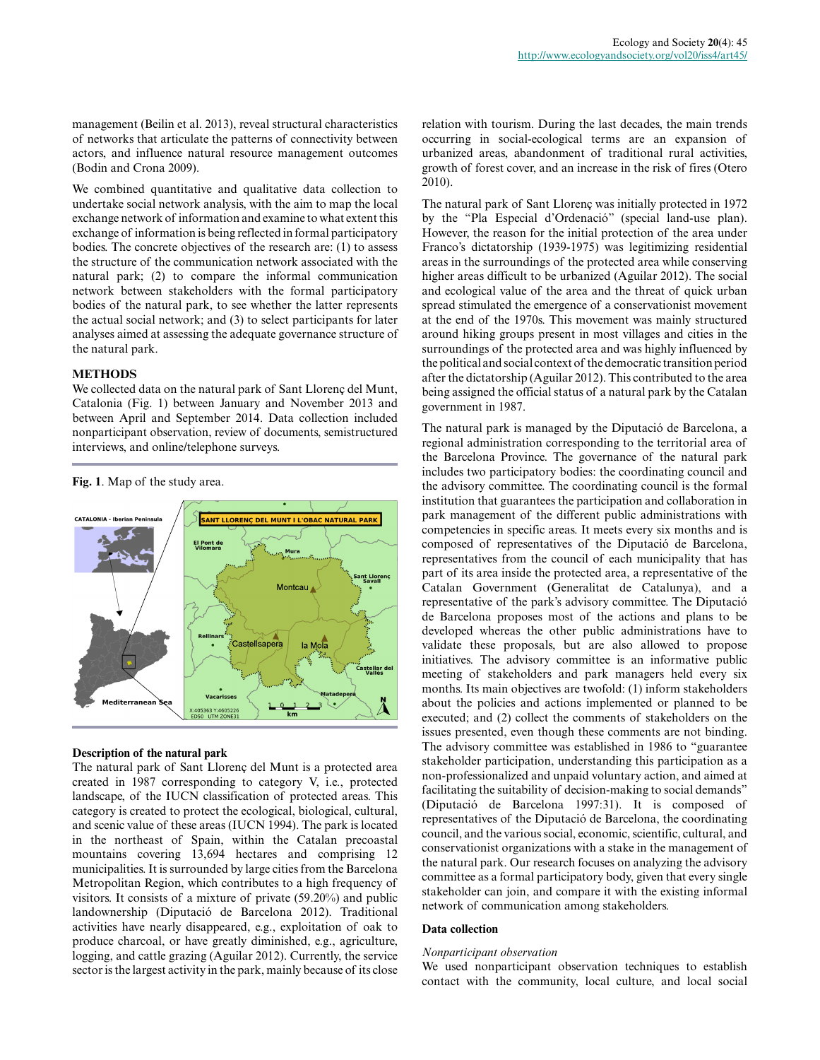management (Beilin et al. 2013), reveal structural characteristics of networks that articulate the patterns of connectivity between actors, and influence natural resource management outcomes (Bodin and Crona 2009).

We combined quantitative and qualitative data collection to undertake social network analysis, with the aim to map the local exchange network of information and examine to what extent this exchange of information is being reflected in formal participatory bodies. The concrete objectives of the research are: (1) to assess the structure of the communication network associated with the natural park; (2) to compare the informal communication network between stakeholders with the formal participatory bodies of the natural park, to see whether the latter represents the actual social network; and (3) to select participants for later analyses aimed at assessing the adequate governance structure of the natural park.

#### **METHODS**

We collected data on the natural park of Sant Llorenç del Munt, Catalonia (Fig. 1) between January and November 2013 and between April and September 2014. Data collection included nonparticipant observation, review of documents, semistructured interviews, and online/telephone surveys.

**Fig. 1**. Map of the study area.



# **Description of the natural park**

The natural park of Sant Llorenç del Munt is a protected area created in 1987 corresponding to category V, i.e., protected landscape, of the IUCN classification of protected areas. This category is created to protect the ecological, biological, cultural, and scenic value of these areas (IUCN 1994). The park is located in the northeast of Spain, within the Catalan precoastal mountains covering 13,694 hectares and comprising 12 municipalities. It is surrounded by large cities from the Barcelona Metropolitan Region, which contributes to a high frequency of visitors. It consists of a mixture of private (59.20%) and public landownership (Diputació de Barcelona 2012). Traditional activities have nearly disappeared, e.g., exploitation of oak to produce charcoal, or have greatly diminished, e.g., agriculture, logging, and cattle grazing (Aguilar 2012). Currently, the service sector is the largest activity in the park, mainly because of its close relation with tourism. During the last decades, the main trends occurring in social-ecological terms are an expansion of urbanized areas, abandonment of traditional rural activities, growth of forest cover, and an increase in the risk of fires (Otero 2010).

The natural park of Sant Llorenç was initially protected in 1972 by the "Pla Especial d'Ordenació" (special land-use plan). However, the reason for the initial protection of the area under Franco's dictatorship (1939-1975) was legitimizing residential areas in the surroundings of the protected area while conserving higher areas difficult to be urbanized (Aguilar 2012). The social and ecological value of the area and the threat of quick urban spread stimulated the emergence of a conservationist movement at the end of the 1970s. This movement was mainly structured around hiking groups present in most villages and cities in the surroundings of the protected area and was highly influenced by the political and social context of the democratic transition period after the dictatorship (Aguilar 2012). This contributed to the area being assigned the official status of a natural park by the Catalan government in 1987.

The natural park is managed by the Diputació de Barcelona, a regional administration corresponding to the territorial area of the Barcelona Province. The governance of the natural park includes two participatory bodies: the coordinating council and the advisory committee. The coordinating council is the formal institution that guarantees the participation and collaboration in park management of the different public administrations with competencies in specific areas. It meets every six months and is composed of representatives of the Diputació de Barcelona, representatives from the council of each municipality that has part of its area inside the protected area, a representative of the Catalan Government (Generalitat de Catalunya), and a representative of the park's advisory committee. The Diputació de Barcelona proposes most of the actions and plans to be developed whereas the other public administrations have to validate these proposals, but are also allowed to propose initiatives. The advisory committee is an informative public meeting of stakeholders and park managers held every six months. Its main objectives are twofold: (1) inform stakeholders about the policies and actions implemented or planned to be executed; and (2) collect the comments of stakeholders on the issues presented, even though these comments are not binding. The advisory committee was established in 1986 to "guarantee stakeholder participation, understanding this participation as a non-professionalized and unpaid voluntary action, and aimed at facilitating the suitability of decision-making to social demands" (Diputació de Barcelona 1997:31). It is composed of representatives of the Diputació de Barcelona, the coordinating council, and the various social, economic, scientific, cultural, and conservationist organizations with a stake in the management of the natural park. Our research focuses on analyzing the advisory committee as a formal participatory body, given that every single stakeholder can join, and compare it with the existing informal network of communication among stakeholders.

## **Data collection**

#### *Nonparticipant observation*

We used nonparticipant observation techniques to establish contact with the community, local culture, and local social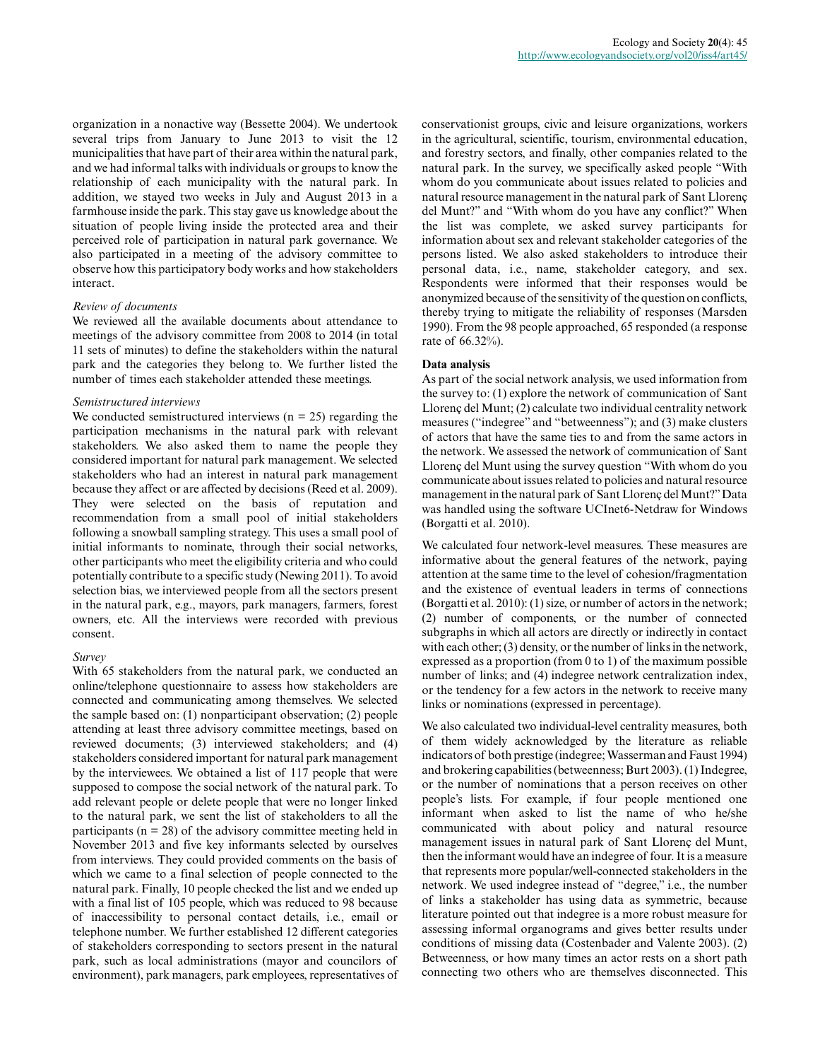organization in a nonactive way (Bessette 2004). We undertook several trips from January to June 2013 to visit the 12 municipalities that have part of their area within the natural park, and we had informal talks with individuals or groups to know the relationship of each municipality with the natural park. In addition, we stayed two weeks in July and August 2013 in a farmhouse inside the park. This stay gave us knowledge about the situation of people living inside the protected area and their perceived role of participation in natural park governance. We also participated in a meeting of the advisory committee to observe how this participatory body works and how stakeholders interact.

#### *Review of documents*

We reviewed all the available documents about attendance to meetings of the advisory committee from 2008 to 2014 (in total 11 sets of minutes) to define the stakeholders within the natural park and the categories they belong to. We further listed the number of times each stakeholder attended these meetings.

#### *Semistructured interviews*

We conducted semistructured interviews  $(n = 25)$  regarding the participation mechanisms in the natural park with relevant stakeholders. We also asked them to name the people they considered important for natural park management. We selected stakeholders who had an interest in natural park management because they affect or are affected by decisions (Reed et al. 2009). They were selected on the basis of reputation and recommendation from a small pool of initial stakeholders following a snowball sampling strategy. This uses a small pool of initial informants to nominate, through their social networks, other participants who meet the eligibility criteria and who could potentially contribute to a specific study (Newing 2011). To avoid selection bias, we interviewed people from all the sectors present in the natural park, e.g., mayors, park managers, farmers, forest owners, etc. All the interviews were recorded with previous consent.

#### *Survey*

With 65 stakeholders from the natural park, we conducted an online/telephone questionnaire to assess how stakeholders are connected and communicating among themselves. We selected the sample based on: (1) nonparticipant observation; (2) people attending at least three advisory committee meetings, based on reviewed documents; (3) interviewed stakeholders; and (4) stakeholders considered important for natural park management by the interviewees. We obtained a list of 117 people that were supposed to compose the social network of the natural park. To add relevant people or delete people that were no longer linked to the natural park, we sent the list of stakeholders to all the participants ( $n = 28$ ) of the advisory committee meeting held in November 2013 and five key informants selected by ourselves from interviews. They could provided comments on the basis of which we came to a final selection of people connected to the natural park. Finally, 10 people checked the list and we ended up with a final list of 105 people, which was reduced to 98 because of inaccessibility to personal contact details, i.e., email or telephone number. We further established 12 different categories of stakeholders corresponding to sectors present in the natural park, such as local administrations (mayor and councilors of environment), park managers, park employees, representatives of conservationist groups, civic and leisure organizations, workers in the agricultural, scientific, tourism, environmental education, and forestry sectors, and finally, other companies related to the natural park. In the survey, we specifically asked people "With whom do you communicate about issues related to policies and natural resource management in the natural park of Sant Llorenç del Munt?" and "With whom do you have any conflict?" When the list was complete, we asked survey participants for information about sex and relevant stakeholder categories of the persons listed. We also asked stakeholders to introduce their personal data, i.e., name, stakeholder category, and sex. Respondents were informed that their responses would be anonymized because of the sensitivity of the question on conflicts, thereby trying to mitigate the reliability of responses (Marsden 1990). From the 98 people approached, 65 responded (a response rate of 66.32%).

#### **Data analysis**

As part of the social network analysis, we used information from the survey to: (1) explore the network of communication of Sant Llorenç del Munt; (2) calculate two individual centrality network measures ("indegree" and "betweenness"); and (3) make clusters of actors that have the same ties to and from the same actors in the network. We assessed the network of communication of Sant Llorenç del Munt using the survey question "With whom do you communicate about issues related to policies and natural resource management in the natural park of Sant Llorenç del Munt?" Data was handled using the software UCInet6-Netdraw for Windows (Borgatti et al. 2010).

We calculated four network-level measures. These measures are informative about the general features of the network, paying attention at the same time to the level of cohesion/fragmentation and the existence of eventual leaders in terms of connections (Borgatti et al. 2010): (1) size, or number of actors in the network; (2) number of components, or the number of connected subgraphs in which all actors are directly or indirectly in contact with each other; (3) density, or the number of links in the network, expressed as a proportion (from 0 to 1) of the maximum possible number of links; and (4) indegree network centralization index, or the tendency for a few actors in the network to receive many links or nominations (expressed in percentage).

We also calculated two individual-level centrality measures, both of them widely acknowledged by the literature as reliable indicators of both prestige (indegree; Wasserman and Faust 1994) and brokering capabilities (betweenness; Burt 2003). (1) Indegree, or the number of nominations that a person receives on other people's lists. For example, if four people mentioned one informant when asked to list the name of who he/she communicated with about policy and natural resource management issues in natural park of Sant Llorenç del Munt, then the informant would have an indegree of four. It is a measure that represents more popular/well-connected stakeholders in the network. We used indegree instead of "degree," i.e., the number of links a stakeholder has using data as symmetric, because literature pointed out that indegree is a more robust measure for assessing informal organograms and gives better results under conditions of missing data (Costenbader and Valente 2003). (2) Betweenness, or how many times an actor rests on a short path connecting two others who are themselves disconnected. This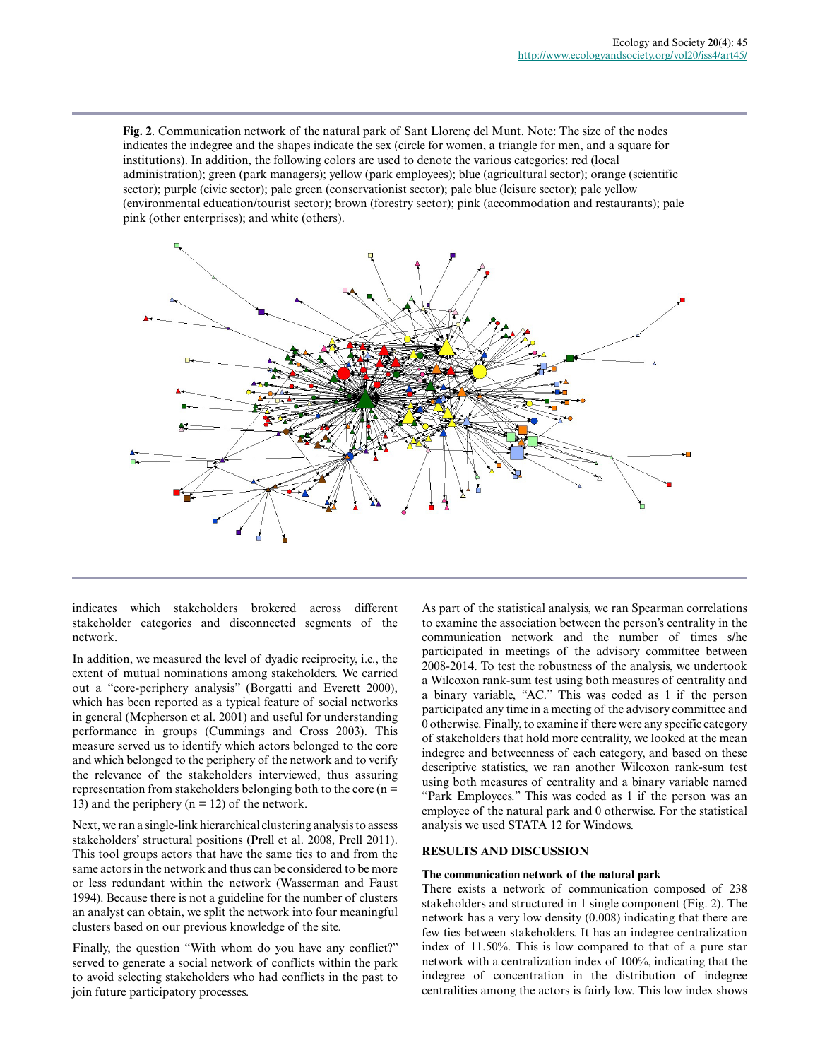**Fig. 2**. Communication network of the natural park of Sant Llorenç del Munt. Note: The size of the nodes indicates the indegree and the shapes indicate the sex (circle for women, a triangle for men, and a square for institutions). In addition, the following colors are used to denote the various categories: red (local administration); green (park managers); yellow (park employees); blue (agricultural sector); orange (scientific sector); purple (civic sector); pale green (conservationist sector); pale blue (leisure sector); pale yellow (environmental education/tourist sector); brown (forestry sector); pink (accommodation and restaurants); pale pink (other enterprises); and white (others).



indicates which stakeholders brokered across different stakeholder categories and disconnected segments of the network.

In addition, we measured the level of dyadic reciprocity, i.e., the extent of mutual nominations among stakeholders. We carried out a "core-periphery analysis" (Borgatti and Everett 2000), which has been reported as a typical feature of social networks in general (Mcpherson et al. 2001) and useful for understanding performance in groups (Cummings and Cross 2003). This measure served us to identify which actors belonged to the core and which belonged to the periphery of the network and to verify the relevance of the stakeholders interviewed, thus assuring representation from stakeholders belonging both to the core  $(n =$ 13) and the periphery ( $n = 12$ ) of the network.

Next, we ran a single-link hierarchical clustering analysis to assess stakeholders' structural positions (Prell et al. 2008, Prell 2011). This tool groups actors that have the same ties to and from the same actors in the network and thus can be considered to be more or less redundant within the network (Wasserman and Faust 1994). Because there is not a guideline for the number of clusters an analyst can obtain, we split the network into four meaningful clusters based on our previous knowledge of the site.

Finally, the question "With whom do you have any conflict?" served to generate a social network of conflicts within the park to avoid selecting stakeholders who had conflicts in the past to join future participatory processes.

As part of the statistical analysis, we ran Spearman correlations to examine the association between the person's centrality in the communication network and the number of times s/he participated in meetings of the advisory committee between 2008-2014. To test the robustness of the analysis, we undertook a Wilcoxon rank-sum test using both measures of centrality and a binary variable, "AC." This was coded as 1 if the person participated any time in a meeting of the advisory committee and 0 otherwise. Finally, to examine if there were any specific category of stakeholders that hold more centrality, we looked at the mean indegree and betweenness of each category, and based on these descriptive statistics, we ran another Wilcoxon rank-sum test using both measures of centrality and a binary variable named "Park Employees." This was coded as 1 if the person was an employee of the natural park and 0 otherwise. For the statistical analysis we used STATA 12 for Windows.

#### **RESULTS AND DISCUSSION**

#### **The communication network of the natural park**

There exists a network of communication composed of 238 stakeholders and structured in 1 single component (Fig. 2). The network has a very low density (0.008) indicating that there are few ties between stakeholders. It has an indegree centralization index of 11.50%. This is low compared to that of a pure star network with a centralization index of 100%, indicating that the indegree of concentration in the distribution of indegree centralities among the actors is fairly low. This low index shows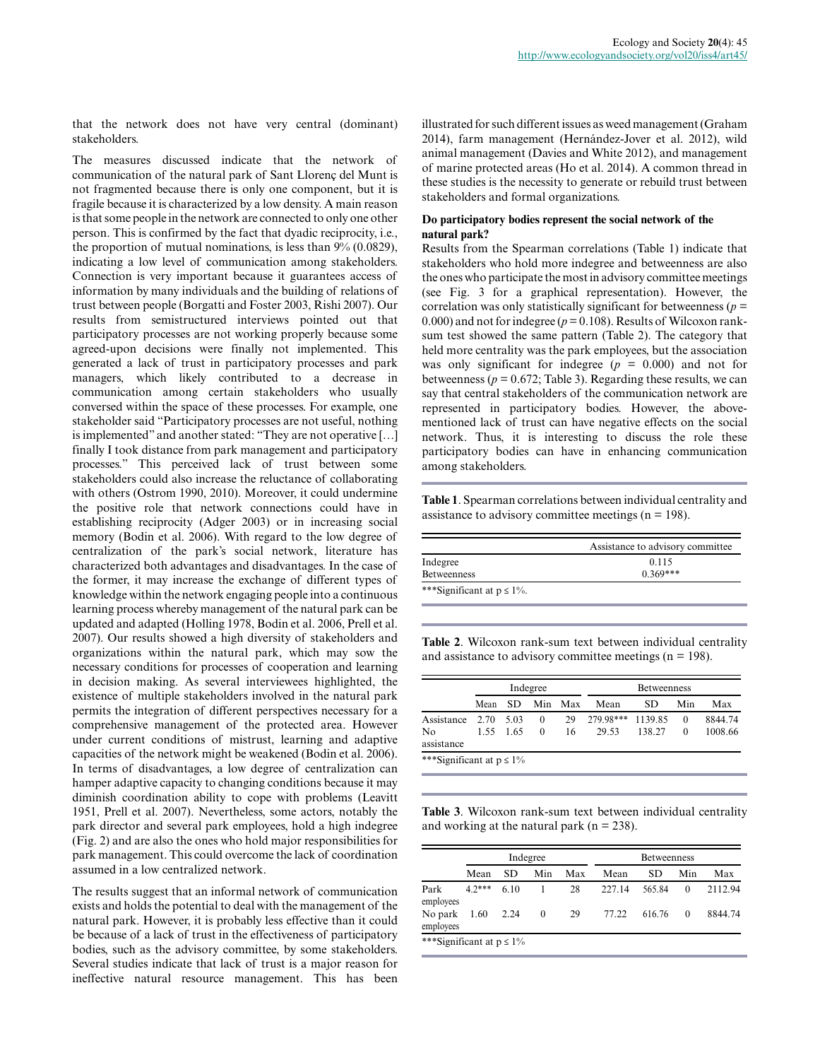that the network does not have very central (dominant) stakeholders.

The measures discussed indicate that the network of communication of the natural park of Sant Llorenç del Munt is not fragmented because there is only one component, but it is fragile because it is characterized by a low density. A main reason is that some people in the network are connected to only one other person. This is confirmed by the fact that dyadic reciprocity, i.e., the proportion of mutual nominations, is less than  $9\%$  (0.0829), indicating a low level of communication among stakeholders. Connection is very important because it guarantees access of information by many individuals and the building of relations of trust between people (Borgatti and Foster 2003, Rishi 2007). Our results from semistructured interviews pointed out that participatory processes are not working properly because some agreed-upon decisions were finally not implemented. This generated a lack of trust in participatory processes and park managers, which likely contributed to a decrease in communication among certain stakeholders who usually conversed within the space of these processes. For example, one stakeholder said "Participatory processes are not useful, nothing is implemented" and another stated: "They are not operative […] finally I took distance from park management and participatory processes." This perceived lack of trust between some stakeholders could also increase the reluctance of collaborating with others (Ostrom 1990, 2010). Moreover, it could undermine the positive role that network connections could have in establishing reciprocity (Adger 2003) or in increasing social memory (Bodin et al. 2006). With regard to the low degree of centralization of the park's social network, literature has characterized both advantages and disadvantages. In the case of the former, it may increase the exchange of different types of knowledge within the network engaging people into a continuous learning process whereby management of the natural park can be updated and adapted (Holling 1978, Bodin et al. 2006, Prell et al. 2007). Our results showed a high diversity of stakeholders and organizations within the natural park, which may sow the necessary conditions for processes of cooperation and learning in decision making. As several interviewees highlighted, the existence of multiple stakeholders involved in the natural park permits the integration of different perspectives necessary for a comprehensive management of the protected area. However under current conditions of mistrust, learning and adaptive capacities of the network might be weakened (Bodin et al. 2006). In terms of disadvantages, a low degree of centralization can hamper adaptive capacity to changing conditions because it may diminish coordination ability to cope with problems (Leavitt 1951, Prell et al. 2007). Nevertheless, some actors, notably the park director and several park employees, hold a high indegree (Fig. 2) and are also the ones who hold major responsibilities for park management. This could overcome the lack of coordination assumed in a low centralized network.

The results suggest that an informal network of communication exists and holds the potential to deal with the management of the natural park. However, it is probably less effective than it could be because of a lack of trust in the effectiveness of participatory bodies, such as the advisory committee, by some stakeholders. Several studies indicate that lack of trust is a major reason for ineffective natural resource management. This has been

illustrated for such different issues as weed management (Graham 2014), farm management (Hernández-Jover et al. 2012), wild animal management (Davies and White 2012), and management of marine protected areas (Ho et al. 2014). A common thread in these studies is the necessity to generate or rebuild trust between stakeholders and formal organizations.

#### **Do participatory bodies represent the social network of the natural park?**

Results from the Spearman correlations (Table 1) indicate that stakeholders who hold more indegree and betweenness are also the ones who participate the most in advisory committee meetings (see Fig. 3 for a graphical representation). However, the correlation was only statistically significant for betweenness ( $p =$ 0.000) and not for indegree ( $p = 0.108$ ). Results of Wilcoxon ranksum test showed the same pattern (Table 2). The category that held more centrality was the park employees, but the association was only significant for indegree  $(p = 0.000)$  and not for betweenness ( $p = 0.672$ ; Table 3). Regarding these results, we can say that central stakeholders of the communication network are represented in participatory bodies. However, the abovementioned lack of trust can have negative effects on the social network. Thus, it is interesting to discuss the role these participatory bodies can have in enhancing communication among stakeholders.

**Table 1**. Spearman correlations between individual centrality and assistance to advisory committee meetings ( $n = 198$ ).

|                                 | Assistance to advisory committee |
|---------------------------------|----------------------------------|
| Indegree                        | 0.115                            |
| <b>Betweenness</b>              | $0.369***$                       |
| ***Significant at $p \le 1\%$ . |                                  |

**Table 2**. Wilcoxon rank-sum text between individual centrality and assistance to advisory committee meetings ( $n = 198$ ).

|                               | Indegree |         |          | <b>Betweenness</b> |                   |        |          |         |
|-------------------------------|----------|---------|----------|--------------------|-------------------|--------|----------|---------|
|                               | Mean SD  |         | Min Max  |                    | Mean              | SD.    | Min      | Max     |
| Assistance 2.70               |          | - 5.03  | $\Omega$ | 29                 | 279.98*** 1139.85 |        | $\Omega$ | 8844.74 |
| N <sub>0</sub><br>assistance  |          | 155 165 | $\Omega$ | 16                 | 29.53             | 138.27 | $\Omega$ | 1008.66 |
| ***Significant at $p \le 1\%$ |          |         |          |                    |                   |        |          |         |

**Table 3**. Wilcoxon rank-sum text between individual centrality and working at the natural park ( $n = 238$ ).

|                               | Indegree |      |          | <b>Betweenness</b> |        |        |          |         |
|-------------------------------|----------|------|----------|--------------------|--------|--------|----------|---------|
|                               | Mean     | SD.  | Min      | Max                | Mean   | SD.    | Min      | Max     |
| Park<br>employees             | $4.2***$ | 6.10 | 1        | 28                 | 227 14 | 565.84 | $\Omega$ | 2112.94 |
| No park<br>employees          | 1.60     | 2.24 | $\theta$ | 29                 | 77.22  | 616.76 | $\Omega$ | 8844.74 |
| ***Significant at $p \le 1\%$ |          |      |          |                    |        |        |          |         |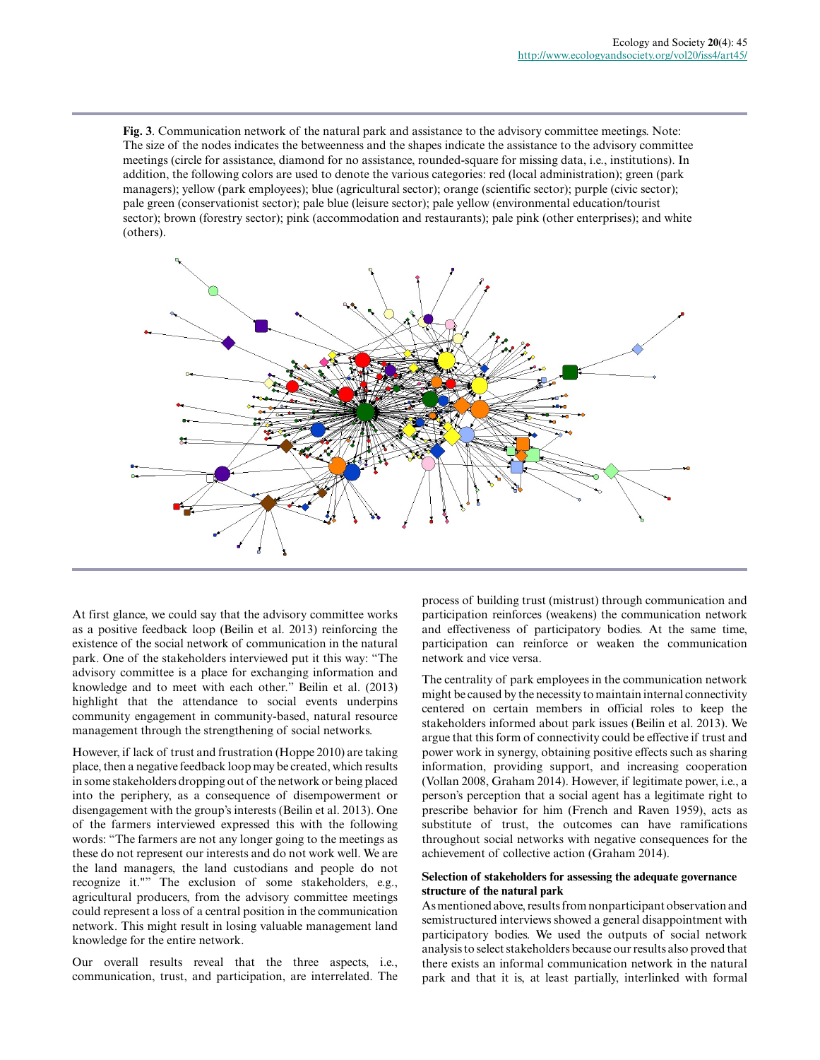**Fig. 3**. Communication network of the natural park and assistance to the advisory committee meetings. Note: The size of the nodes indicates the betweenness and the shapes indicate the assistance to the advisory committee meetings (circle for assistance, diamond for no assistance, rounded-square for missing data, i.e., institutions). In addition, the following colors are used to denote the various categories: red (local administration); green (park managers); yellow (park employees); blue (agricultural sector); orange (scientific sector); purple (civic sector); pale green (conservationist sector); pale blue (leisure sector); pale yellow (environmental education/tourist sector); brown (forestry sector); pink (accommodation and restaurants); pale pink (other enterprises); and white (others).



At first glance, we could say that the advisory committee works as a positive feedback loop (Beilin et al. 2013) reinforcing the existence of the social network of communication in the natural park. One of the stakeholders interviewed put it this way: "The advisory committee is a place for exchanging information and knowledge and to meet with each other." Beilin et al. (2013) highlight that the attendance to social events underpins community engagement in community-based, natural resource management through the strengthening of social networks.

However, if lack of trust and frustration (Hoppe 2010) are taking place, then a negative feedback loop may be created, which results in some stakeholders dropping out of the network or being placed into the periphery, as a consequence of disempowerment or disengagement with the group's interests (Beilin et al. 2013). One of the farmers interviewed expressed this with the following words: "The farmers are not any longer going to the meetings as these do not represent our interests and do not work well. We are the land managers, the land custodians and people do not recognize it."" The exclusion of some stakeholders, e.g., agricultural producers, from the advisory committee meetings could represent a loss of a central position in the communication network. This might result in losing valuable management land knowledge for the entire network.

Our overall results reveal that the three aspects, i.e., communication, trust, and participation, are interrelated. The process of building trust (mistrust) through communication and participation reinforces (weakens) the communication network and effectiveness of participatory bodies. At the same time, participation can reinforce or weaken the communication network and vice versa.

The centrality of park employees in the communication network might be caused by the necessity to maintain internal connectivity centered on certain members in official roles to keep the stakeholders informed about park issues (Beilin et al. 2013). We argue that this form of connectivity could be effective if trust and power work in synergy, obtaining positive effects such as sharing information, providing support, and increasing cooperation (Vollan 2008, Graham 2014). However, if legitimate power, i.e., a person's perception that a social agent has a legitimate right to prescribe behavior for him (French and Raven 1959), acts as substitute of trust, the outcomes can have ramifications throughout social networks with negative consequences for the achievement of collective action (Graham 2014).

## **Selection of stakeholders for assessing the adequate governance structure of the natural park**

As mentioned above, results from nonparticipant observation and semistructured interviews showed a general disappointment with participatory bodies. We used the outputs of social network analysis to select stakeholders because our results also proved that there exists an informal communication network in the natural park and that it is, at least partially, interlinked with formal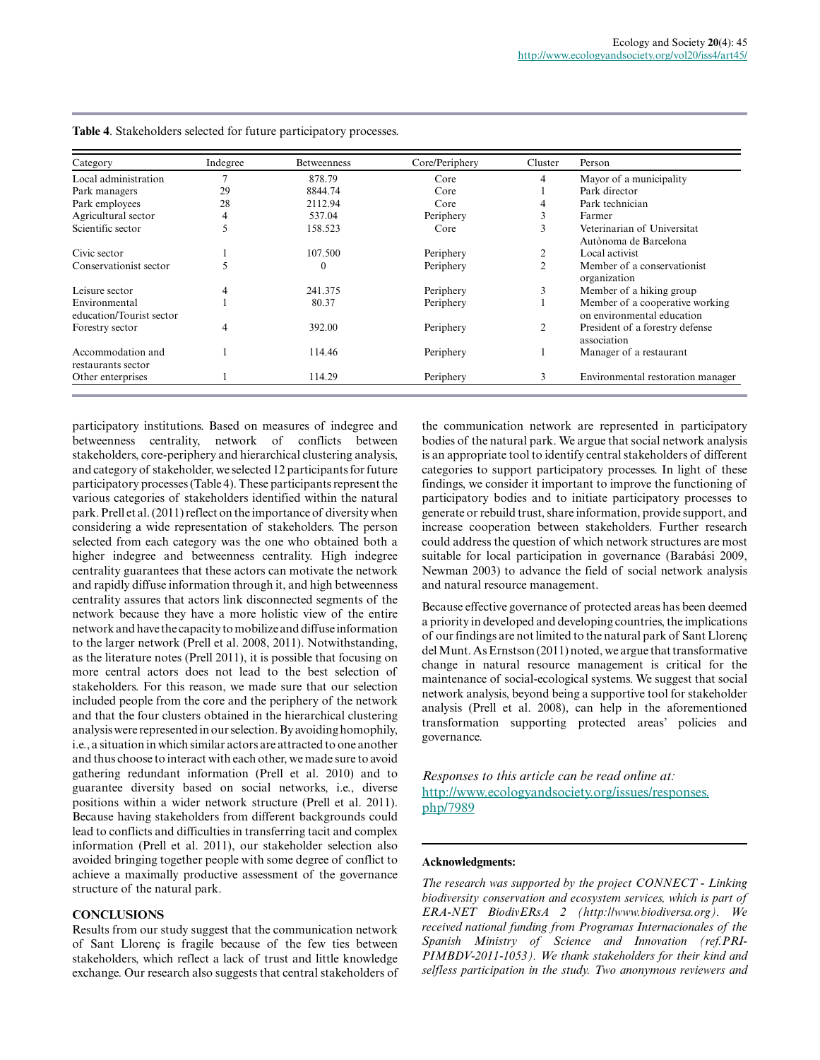| Category                                  | Indegree | <b>Betweenness</b> | Core/Periphery | Cluster        | Person                                                        |
|-------------------------------------------|----------|--------------------|----------------|----------------|---------------------------------------------------------------|
| Local administration                      |          | 878.79             | Core           | 4              | Mayor of a municipality                                       |
| Park managers                             | 29       | 8844.74            | Core           |                | Park director                                                 |
| Park employees                            | 28       | 2112.94            | Core           | 4              | Park technician                                               |
| Agricultural sector                       |          | 537.04             | Periphery      | Ć              | Farmer                                                        |
| Scientific sector                         |          | 158.523            | Core           | 3              | Veterinarian of Universitat<br>Autònoma de Barcelona          |
| Civic sector                              |          | 107.500            | Periphery      | 2              | Local activist                                                |
| Conservationist sector                    |          | 0                  | Periphery      | $\overline{c}$ | Member of a conservationist<br>organization                   |
| Leisure sector                            | 4        | 241.375            | Periphery      | 3              | Member of a hiking group                                      |
| Environmental<br>education/Tourist sector |          | 80.37              | Periphery      |                | Member of a cooperative working<br>on environmental education |
| Forestry sector                           | 4        | 392.00             | Periphery      | 2              | President of a forestry defense<br>association                |
| Accommodation and<br>restaurants sector   |          | 114.46             | Periphery      |                | Manager of a restaurant                                       |
| Other enterprises                         |          | 114.29             | Periphery      | 3              | Environmental restoration manager                             |

**Table 4**. Stakeholders selected for future participatory processes.

participatory institutions. Based on measures of indegree and betweenness centrality, network of conflicts between stakeholders, core-periphery and hierarchical clustering analysis, and category of stakeholder, we selected 12 participants for future participatory processes (Table 4). These participants represent the various categories of stakeholders identified within the natural park. Prell et al. (2011) reflect on the importance of diversity when considering a wide representation of stakeholders. The person selected from each category was the one who obtained both a higher indegree and betweenness centrality. High indegree centrality guarantees that these actors can motivate the network and rapidly diffuse information through it, and high betweenness centrality assures that actors link disconnected segments of the network because they have a more holistic view of the entire network and have the capacity to mobilize and diffuse information to the larger network (Prell et al. 2008, 2011). Notwithstanding, as the literature notes (Prell 2011), it is possible that focusing on more central actors does not lead to the best selection of stakeholders. For this reason, we made sure that our selection included people from the core and the periphery of the network and that the four clusters obtained in the hierarchical clustering analysis were represented in our selection. By avoiding homophily, i.e., a situation in which similar actors are attracted to one another and thus choose to interact with each other, we made sure to avoid gathering redundant information (Prell et al. 2010) and to guarantee diversity based on social networks, i.e., diverse positions within a wider network structure (Prell et al. 2011). Because having stakeholders from different backgrounds could lead to conflicts and difficulties in transferring tacit and complex information (Prell et al. 2011), our stakeholder selection also avoided bringing together people with some degree of conflict to achieve a maximally productive assessment of the governance structure of the natural park.

## **CONCLUSIONS**

Results from our study suggest that the communication network of Sant Llorenç is fragile because of the few ties between stakeholders, which reflect a lack of trust and little knowledge exchange. Our research also suggests that central stakeholders of the communication network are represented in participatory bodies of the natural park. We argue that social network analysis is an appropriate tool to identify central stakeholders of different categories to support participatory processes. In light of these findings, we consider it important to improve the functioning of participatory bodies and to initiate participatory processes to generate or rebuild trust, share information, provide support, and increase cooperation between stakeholders. Further research could address the question of which network structures are most suitable for local participation in governance (Barabási 2009, Newman 2003) to advance the field of social network analysis and natural resource management.

Because effective governance of protected areas has been deemed a priority in developed and developing countries, the implications of our findings are not limited to the natural park of Sant Llorenç del Munt. As Ernstson (2011) noted, we argue that transformative change in natural resource management is critical for the maintenance of social-ecological systems. We suggest that social network analysis, beyond being a supportive tool for stakeholder analysis (Prell et al. 2008), can help in the aforementioned transformation supporting protected areas' policies and governance.

*Responses to this article can be read online at:* [http://www.ecologyandsociety.org/issues/responses.](http://www.ecologyandsociety.org/issues/responses.php/7989) [php/7989](http://www.ecologyandsociety.org/issues/responses.php/7989)

# **Acknowledgments:**

*The research was supported by the project CONNECT - Linking biodiversity conservation and ecosystem services, which is part of ERA-NET BiodivERsA 2 (http://www.biodiversa.org). We received national funding from Programas Internacionales of the Spanish Ministry of Science and Innovation (ref.PRI-PIMBDV-2011-1053). We thank stakeholders for their kind and selfless participation in the study. Two anonymous reviewers and*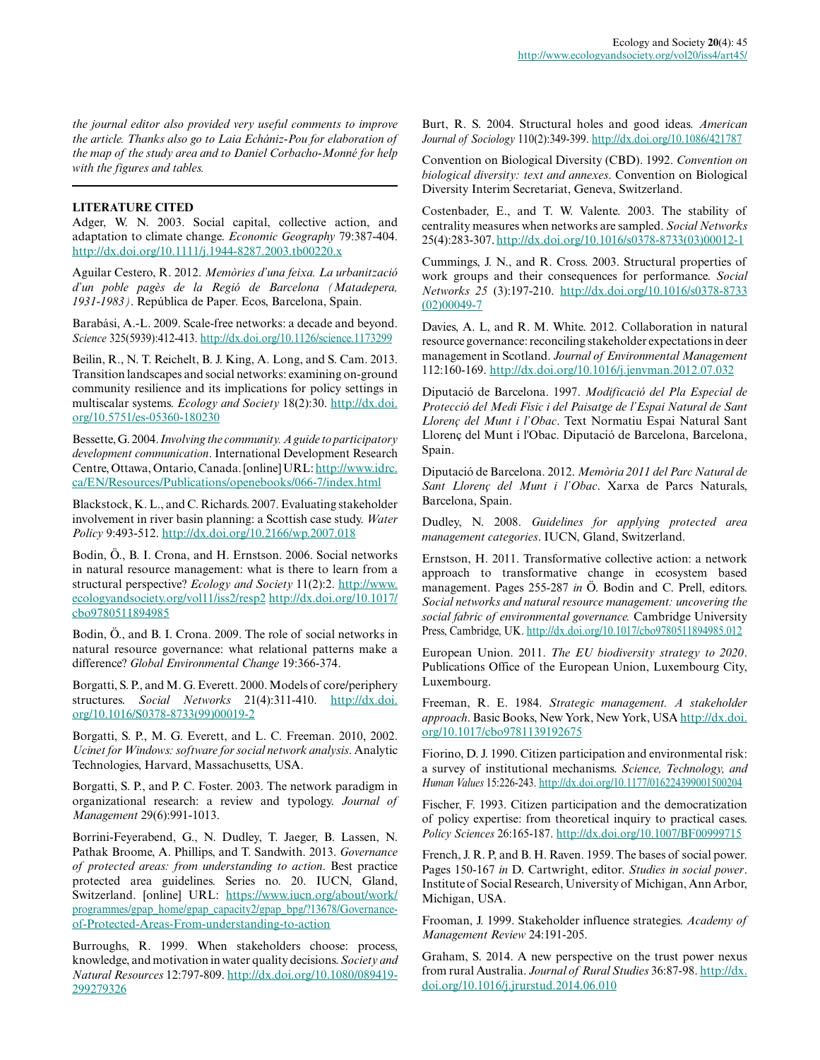*the journal editor also provided very useful comments to improve the article. Thanks also go to Laia Echániz-Pou for elaboration of the map of the study area and to Daniel Corbacho-Monné for help with the figures and tables.*

# **LITERATURE CITED**

Adger, W. N. 2003. Social capital, collective action, and adaptation to climate change. *Economic Geography* 79:387-404. [http://dx.doi.org/10.1111/j.1944-8287.2003.tb00220.x](http://dx.doi.org/10.1111%2Fj.1944-8287.2003.tb00220.x)

Aguilar Cestero, R. 2012. *Memòries d'una feixa. La urbanització d'un poble pagès de la Regió de Barcelona (Matadepera, 1931-1983)*. República de Paper. Ecos, Barcelona, Spain.

Barabási, A.-L. 2009. Scale-free networks: a decade and beyond. *Science* 325(5939):412-413. [http://dx.doi.org/10.1126/science.1173299](http://dx.doi.org/10.1126%2Fscience.1173299) 

Beilin, R., N. T. Reichelt, B. J. King, A. Long, and S. Cam. 2013. Transition landscapes and social networks: examining on-ground community resilience and its implications for policy settings in multiscalar systems. *Ecology and Society* 18(2):30. [http://dx.doi.](http://dx.doi.org/10.5751%2Fes-05360-180230) [org/10.5751/es-05360-180230](http://dx.doi.org/10.5751%2Fes-05360-180230)

Bessette, G. 2004. *Involving the community. A guide to participatory development communication*. International Development Research Centre, Ottawa, Ontario, Canada. [online] URL: [http://www.idrc.](http://www.idrc.ca/EN/Resources/Publications/openebooks/066-7/index.html) [ca/EN/Resources/Publications/openebooks/066-7/index.html](http://www.idrc.ca/EN/Resources/Publications/openebooks/066-7/index.html) 

Blackstock, K. L., and C. Richards. 2007. Evaluating stakeholder involvement in river basin planning: a Scottish case study. *Water Policy* 9:493-512. [http://dx.doi.org/10.2166/wp.2007.018](http://dx.doi.org/10.2166%2Fwp.2007.018) 

Bodin, Ö., B. I. Crona, and H. Ernstson. 2006. Social networks in natural resource management: what is there to learn from a structural perspective? *Ecology and Society* 11(2):2. [http://www.](http://www.ecologyandsociety.org/vol11/iss2/resp2) [ecologyandsociety.org/vol11/iss2/resp2](http://www.ecologyandsociety.org/vol11/iss2/resp2) [http://dx.doi.org/10.1017/](http://dx.doi.org/10.1017%2Fcbo9780511894985) [cbo9780511894985](http://dx.doi.org/10.1017%2Fcbo9780511894985)

Bodin, Ö., and B. I. Crona. 2009. The role of social networks in natural resource governance: what relational patterns make a difference? *Global Environmental Change* 19:366-374.

Borgatti, S. P., and M. G. Everett. 2000. Models of core/periphery structures. *Social Networks* 21(4):311-410. [http://dx.doi.](http://dx.doi.org/10.1016/S0378-8733(99)00019-2) [org/10.1016/S0378-8733\(99\)00019-2](http://dx.doi.org/10.1016/S0378-8733(99)00019-2)

Borgatti, S. P., M. G. Everett, and L. C. Freeman. 2010, 2002. *Ucinet for Windows: software for social network analysis*. Analytic Technologies, Harvard, Massachusetts, USA.

Borgatti, S. P., and P. C. Foster. 2003. The network paradigm in organizational research: a review and typology. *Journal of Management* 29(6):991-1013.

Borrini-Feyerabend, G., N. Dudley, T. Jaeger, B. Lassen, N. Pathak Broome, A. Phillips, and T. Sandwith. 2013. *Governance of protected areas: from understanding to action*. Best practice protected area guidelines. Series no. 20. IUCN, Gland, Switzerland. [online] URL: [https://www.iucn.org/about/work/](https://www.iucn.org/about/work/programmes/gpap_home/gpap_capacity2/gpap_bpg/?13678/Governance-of-Protected-Areas-From-understanding-to-action) [programmes/gpap\\_home/gpap\\_capacity2/gpap\\_bpg/?13678/Governance](https://www.iucn.org/about/work/programmes/gpap_home/gpap_capacity2/gpap_bpg/?13678/Governance-of-Protected-Areas-From-understanding-to-action)[of-Protected-Areas-From-understanding-to-action](https://www.iucn.org/about/work/programmes/gpap_home/gpap_capacity2/gpap_bpg/?13678/Governance-of-Protected-Areas-From-understanding-to-action) 

Burroughs, R. 1999. When stakeholders choose: process, knowledge, and motivation in water quality decisions. *Society and Natural Resources* 12:797-809. [http://dx.doi.org/10.1080/089419](http://dx.doi.org/10.1080%2F089419299279326) [299279326](http://dx.doi.org/10.1080%2F089419299279326)

Burt, R. S. 2004. Structural holes and good ideas. *American Journal of Sociology* 110(2):349-399. [http://dx.doi.org/10.1086/421787](http://dx.doi.org/10.1086%2F421787) 

Convention on Biological Diversity (CBD). 1992. *Convention on biological diversity: text and annexes*. Convention on Biological Diversity Interim Secretariat, Geneva, Switzerland.

Costenbader, E., and T. W. Valente. 2003. The stability of centrality measures when networks are sampled. *Social Networks* 25(4):283-307. [http://dx.doi.org/10.1016/s0378-8733\(03\)00012-1](http://dx.doi.org/10.1016%2Fs0378-8733%2803%2900012-1)

Cummings, J. N., and R. Cross. 2003. Structural properties of work groups and their consequences for performance. *Social Networks 25* (3):197-210. [http://dx.doi.org/10.1016/s0378-8733](http://dx.doi.org/10.1016%2Fs0378-8733%2802%2900049-7) [\(02\)00049-7](http://dx.doi.org/10.1016%2Fs0378-8733%2802%2900049-7) 

Davies, A. L, and R. M. White. 2012. Collaboration in natural resource governance: reconciling stakeholder expectations in deer management in Scotland. *Journal of Environmental Management* 112:160-169. [http://dx.doi.org/10.1016/j.jenvman.2012.07.032](http://dx.doi.org/10.1016%2Fj.jenvman.2012.07.032)

Diputació de Barcelona. 1997. *Modificació del Pla Especial de Protecció del Medi Físic i del Paisatge de l'Espai Natural de Sant Llorenç del Munt i l'Obac*. Text Normatiu Espai Natural Sant Llorenç del Munt i l'Obac. Diputació de Barcelona, Barcelona, Spain.

Diputació de Barcelona. 2012. *Memòria 2011 del Parc Natural de Sant Llorenç del Munt i l'Obac*. Xarxa de Parcs Naturals, Barcelona, Spain.

Dudley, N. 2008. *Guidelines for applying protected area management categories*. IUCN, Gland, Switzerland.

Ernstson, H. 2011. Transformative collective action: a network approach to transformative change in ecosystem based management. Pages 255-287 *in* Ö. Bodin and C. Prell, editors. *Social networks and natural resource management: uncovering the social fabric of environmental governance.* Cambridge University Press, Cambridge, UK. [http://dx.doi.org/10.1017/cbo9780511894985.012](http://dx.doi.org/10.1017%2Fcbo9780511894985.012)

European Union. 2011. *The EU biodiversity strategy to 2020*. Publications Office of the European Union, Luxembourg City, Luxembourg.

Freeman, R. E. 1984. *Strategic management. A stakeholder approach*. Basic Books, New York, New York, USA [http://dx.doi.](http://dx.doi.org/10.1017%2Fcbo9781139192675) [org/10.1017/cbo9781139192675](http://dx.doi.org/10.1017%2Fcbo9781139192675) 

Fiorino, D. J. 1990. Citizen participation and environmental risk: a survey of institutional mechanisms. *Science, Technology, and Human Values* 15:226-243. [http://dx.doi.org/10.1177/016224399001500204](http://dx.doi.org/10.1177%2F016224399001500204)

Fischer, F. 1993. Citizen participation and the democratization of policy expertise: from theoretical inquiry to practical cases. *Policy Sciences* 26:165-187. [http://dx.doi.org/10.1007/BF00999715](http://dx.doi.org/10.1007%2FBF00999715) 

French, J. R. P, and B. H. Raven. 1959. The bases of social power. Pages 150-167 *in* D. Cartwright, editor. *Studies in social power*. Institute of Social Research, University of Michigan, Ann Arbor, Michigan, USA.

Frooman, J. 1999. Stakeholder influence strategies. *Academy of Management Review* 24:191-205.

Graham, S. 2014. A new perspective on the trust power nexus from rural Australia. *Journal of Rural Studies* 36:87-98. [http://dx.](http://dx.doi.org/10.1016%2Fj.jrurstud.2014.06.010) [doi.org/10.1016/j.jrurstud.2014.06.010](http://dx.doi.org/10.1016%2Fj.jrurstud.2014.06.010)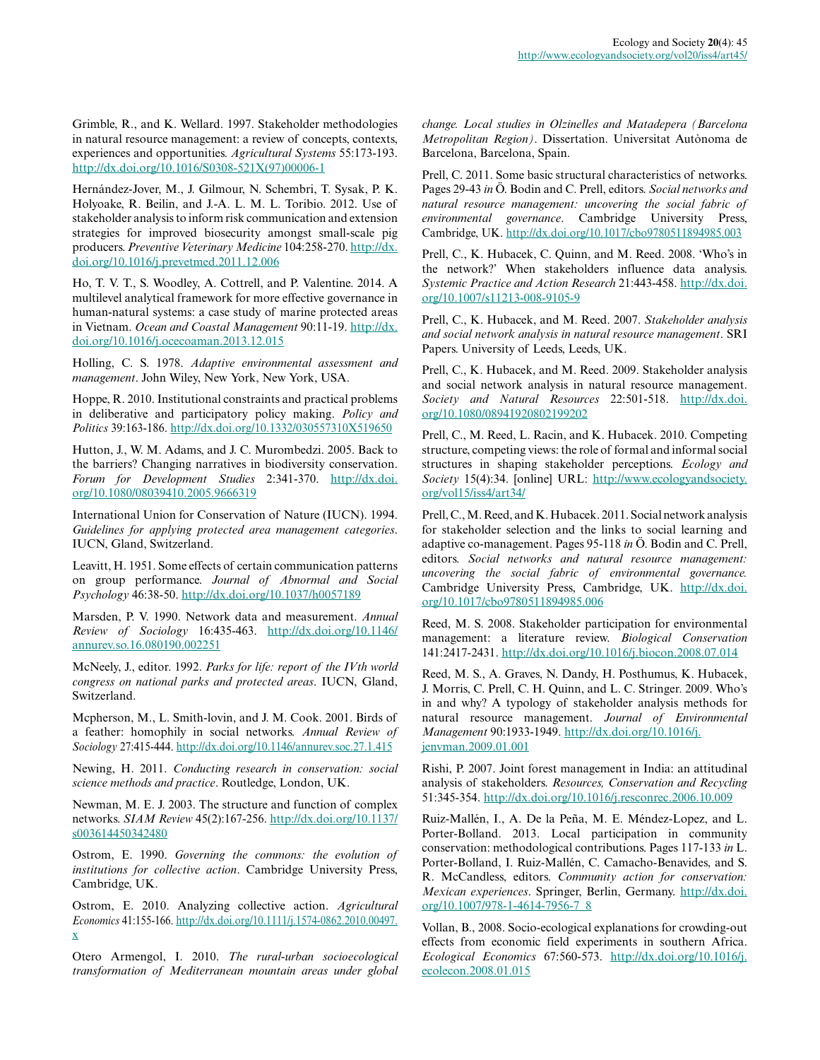Grimble, R., and K. Wellard. 1997. Stakeholder methodologies in natural resource management: a review of concepts, contexts, experiences and opportunities. *Agricultural Systems* 55:173-193. [http://dx.doi.org/10.1016/S0308-521X\(97\)00006-1](http://dx.doi.org/10.1016%2FS0308-521X%2897%2900006-1) 

Hernández-Jover, M., J. Gilmour, N. Schembri, T. Sysak, P. K. Holyoake, R. Beilin, and J.-A. L. M. L. Toribio. 2012. Use of stakeholder analysis to inform risk communication and extension strategies for improved biosecurity amongst small-scale pig producers. *Preventive Veterinary Medicine* 104:258-270. [http://dx.](http://dx.doi.org/10.1016%2Fj.prevetmed.2011.12.006) [doi.org/10.1016/j.prevetmed.2011.12.006](http://dx.doi.org/10.1016%2Fj.prevetmed.2011.12.006)

Ho, T. V. T., S. Woodley, A. Cottrell, and P. Valentine. 2014. A multilevel analytical framework for more effective governance in human-natural systems: a case study of marine protected areas in Vietnam. *Ocean and Coastal Management* 90:11-19. [http://dx.](http://dx.doi.org/10.1016%2Fj.ocecoaman.2013.12.015) [doi.org/10.1016/j.ocecoaman.2013.12.015](http://dx.doi.org/10.1016%2Fj.ocecoaman.2013.12.015) 

Holling, C. S. 1978. *Adaptive environmental assessment and management*. John Wiley, New York, New York, USA.

Hoppe, R. 2010. Institutional constraints and practical problems in deliberative and participatory policy making. *Policy and Politics* 39:163-186. [http://dx.doi.org/10.1332/030557310X519650](http://dx.doi.org/10.1332%2F030557310X519650) 

Hutton, J., W. M. Adams, and J. C. Murombedzi. 2005. Back to the barriers? Changing narratives in biodiversity conservation. *Forum for Development Studies* 2:341-370. [http://dx.doi.](http://dx.doi.org/10.1080%2F08039410.2005.9666319) [org/10.1080/08039410.2005.9666319](http://dx.doi.org/10.1080%2F08039410.2005.9666319) 

International Union for Conservation of Nature (IUCN). 1994. *Guidelines for applying protected area management categories*. IUCN, Gland, Switzerland.

Leavitt, H. 1951. Some effects of certain communication patterns on group performance. *Journal of Abnormal and Social Psychology* 46:38-50. [http://dx.doi.org/10.1037/h0057189](http://dx.doi.org/10.1037%2Fh0057189)

Marsden, P. V. 1990. Network data and measurement. *Annual Review of Sociology* 16:435-463. [http://dx.doi.org/10.1146/](http://dx.doi.org/10.1146%2Fannurev.so.16.080190.002251) [annurev.so.16.080190.002251](http://dx.doi.org/10.1146%2Fannurev.so.16.080190.002251) 

McNeely, J., editor. 1992. *Parks for life: report of the IVth world congress on national parks and protected areas*. IUCN, Gland, Switzerland.

Mcpherson, M., L. Smith-lovin, and J. M. Cook. 2001. Birds of a feather: homophily in social networks. *Annual Review of Sociology* 27:415-444. [http://dx.doi.org/10.1146/annurev.soc.27.1.415](http://dx.doi.org/10.1146%2Fannurev.soc.27.1.415) 

Newing, H. 2011. *Conducting research in conservation: social science methods and practice*. Routledge, London, UK.

Newman, M. E. J. 2003. The structure and function of complex networks. *SIAM Review* 45(2):167-256. [http://dx.doi.org/10.1137/](http://dx.doi.org/10.1137%2Fs003614450342480) [s003614450342480](http://dx.doi.org/10.1137%2Fs003614450342480) 

Ostrom, E. 1990. *Governing the commons: the evolution of institutions for collective action*. Cambridge University Press, Cambridge, UK.

Ostrom, E. 2010. Analyzing collective action. *Agricultural Economics* 41:155-166. [http://dx.doi.org/10.1111/j.1574-0862.2010.00497.](http://dx.doi.org/10.1111%2Fj.1574-0862.2010.00497.x) [x](http://dx.doi.org/10.1111%2Fj.1574-0862.2010.00497.x)

Otero Armengol, I. 2010. *The rural-urban socioecological transformation of Mediterranean mountain areas under global* *change. Local studies in Olzinelles and Matadepera (Barcelona Metropolitan Region)*. Dissertation. Universitat Autònoma de Barcelona, Barcelona, Spain.

Prell, C. 2011. Some basic structural characteristics of networks. Pages 29-43 *in* Ö. Bodin and C. Prell, editors. *Social networks and natural resource management: uncovering the social fabric of environmental governance*. Cambridge University Press, Cambridge, UK. [http://dx.doi.org/10.1017/cbo9780511894985.003](http://dx.doi.org/10.1017%2Fcbo9780511894985.003) 

Prell, C., K. Hubacek, C. Quinn, and M. Reed. 2008. 'Who's in the network?' When stakeholders influence data analysis. *Systemic Practice and Action Research* 21:443-458. [http://dx.doi.](http://dx.doi.org/10.1007%2Fs11213-008-9105-9) [org/10.1007/s11213-008-9105-9](http://dx.doi.org/10.1007%2Fs11213-008-9105-9)

Prell, C., K. Hubacek, and M. Reed. 2007. *Stakeholder analysis and social network analysis in natural resource management*. SRI Papers. University of Leeds, Leeds, UK.

Prell, C., K. Hubacek, and M. Reed. 2009. Stakeholder analysis and social network analysis in natural resource management. *Society and Natural Resources* 22:501-518. [http://dx.doi.](http://dx.doi.org/10.1080%2F08941920802199202) [org/10.1080/08941920802199202](http://dx.doi.org/10.1080%2F08941920802199202) 

Prell, C., M. Reed, L. Racin, and K. Hubacek. 2010. Competing structure, competing views: the role of formal and informal social structures in shaping stakeholder perceptions. *Ecology and Society* 15(4):34. [online] URL: [http://www.ecologyandsociety.](http://www.ecologyandsociety.org/vol15/iss4/art34/) [org/vol15/iss4/art34/](http://www.ecologyandsociety.org/vol15/iss4/art34/)

Prell, C., M. Reed, and K. Hubacek. 2011. Social network analysis for stakeholder selection and the links to social learning and adaptive co-management. Pages 95-118 *in* Ö. Bodin and C. Prell, editors. *Social networks and natural resource management: uncovering the social fabric of environmental governance.* Cambridge University Press, Cambridge, UK. [http://dx.doi.](http://dx.doi.org/10.1017%2Fcbo9780511894985.006) [org/10.1017/cbo9780511894985.006](http://dx.doi.org/10.1017%2Fcbo9780511894985.006) 

Reed, M. S. 2008. Stakeholder participation for environmental management: a literature review. *Biological Conservation* 141:2417-2431. [http://dx.doi.org/10.1016/j.biocon.2008.07.014](http://dx.doi.org/10.1016%2Fj.biocon.2008.07.014) 

Reed, M. S., A. Graves, N. Dandy, H. Posthumus, K. Hubacek, J. Morris, C. Prell, C. H. Quinn, and L. C. Stringer. 2009. Who's in and why? A typology of stakeholder analysis methods for natural resource management. *Journal of Environmental Management* 90:1933-1949. [http://dx.doi.org/10.1016/j.](http://dx.doi.org/10.1016%2Fj.jenvman.2009.01.001) [jenvman.2009.01.001](http://dx.doi.org/10.1016%2Fj.jenvman.2009.01.001)

Rishi, P. 2007. Joint forest management in India: an attitudinal analysis of stakeholders. *Resources, Conservation and Recycling* 51:345-354. [http://dx.doi.org/10.1016/j.resconrec.2006.10.009](http://dx.doi.org/10.1016%2Fj.resconrec.2006.10.009)

Ruiz-Mallén, I., A. De la Peña, M. E. Méndez-Lopez, and L. Porter-Bolland. 2013. Local participation in community conservation: methodological contributions. Pages 117-133 *in* L. Porter-Bolland, I. Ruiz-Mallén, C. Camacho-Benavides, and S. R. McCandless, editors. *Community action for conservation: Mexican experiences*. Springer, Berlin, Germany. [http://dx.doi.](http://dx.doi.org/10.1007%2F978-1-4614-7956-7_8) [org/10.1007/978-1-4614-7956-7\\_8](http://dx.doi.org/10.1007%2F978-1-4614-7956-7_8) 

Vollan, B., 2008. Socio-ecological explanations for crowding-out effects from economic field experiments in southern Africa. *Ecological Economics* 67:560-573. [http://dx.doi.org/10.1016/j.](http://dx.doi.org/10.1016%2Fj.ecolecon.2008.01.015) [ecolecon.2008.01.015](http://dx.doi.org/10.1016%2Fj.ecolecon.2008.01.015)